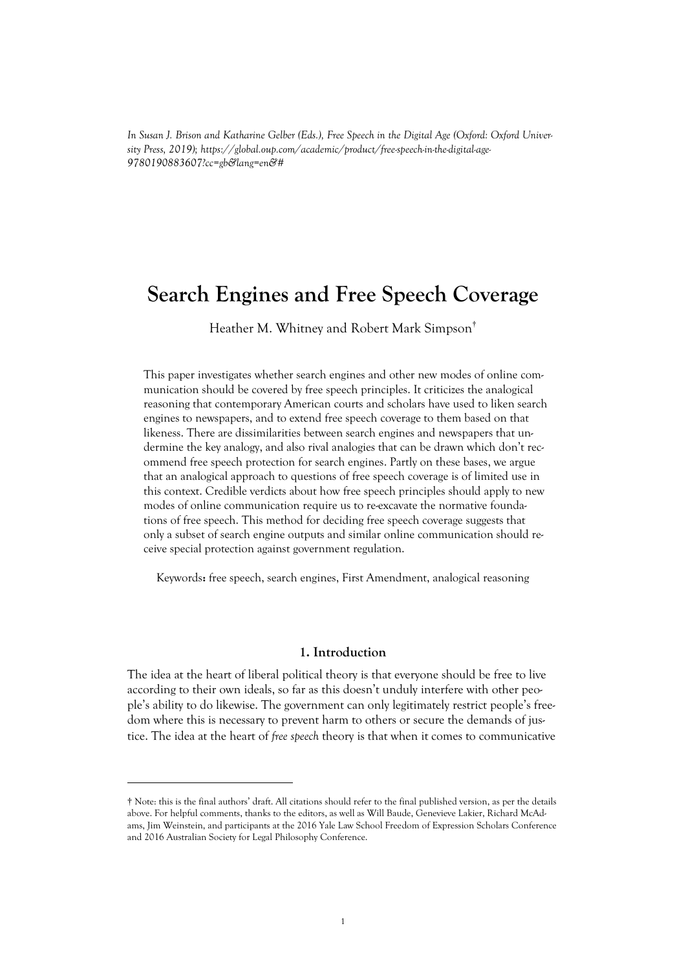*In Susan J. Brison and Katharine Gelber (Eds.), Free Speech in the Digital Age (Oxford: Oxford University Press, 2019); https://global.oup.com/academic/product/free-speech-in-the-digital-age-9780190883607?cc=gb&lang=en&#*

# **Search Engines and Free Speech Coverage**

Heather M. Whitney and Robert Mark Simpson†

This paper investigates whether search engines and other new modes of online communication should be covered by free speech principles. It criticizes the analogical reasoning that contemporary American courts and scholars have used to liken search engines to newspapers, and to extend free speech coverage to them based on that likeness. There are dissimilarities between search engines and newspapers that undermine the key analogy, and also rival analogies that can be drawn which don't recommend free speech protection for search engines. Partly on these bases, we argue that an analogical approach to questions of free speech coverage is of limited use in this context. Credible verdicts about how free speech principles should apply to new modes of online communication require us to re-excavate the normative foundations of free speech. This method for deciding free speech coverage suggests that only a subset of search engine outputs and similar online communication should receive special protection against government regulation.

Keywords**:** free speech, search engines, First Amendment, analogical reasoning

## **1. Introduction**

The idea at the heart of liberal political theory is that everyone should be free to live according to their own ideals, so far as this doesn't unduly interfere with other people's ability to do likewise. The government can only legitimately restrict people's freedom where this is necessary to prevent harm to others or secure the demands of justice. The idea at the heart of *free speech* theory is that when it comes to communicative

<sup>†</sup> Note: this is the final authors' draft. All citations should refer to the final published version, as per the details above. For helpful comments, thanks to the editors, as well as Will Baude, Genevieve Lakier, Richard McAdams, Jim Weinstein, and participants at the 2016 Yale Law School Freedom of Expression Scholars Conference and 2016 Australian Society for Legal Philosophy Conference.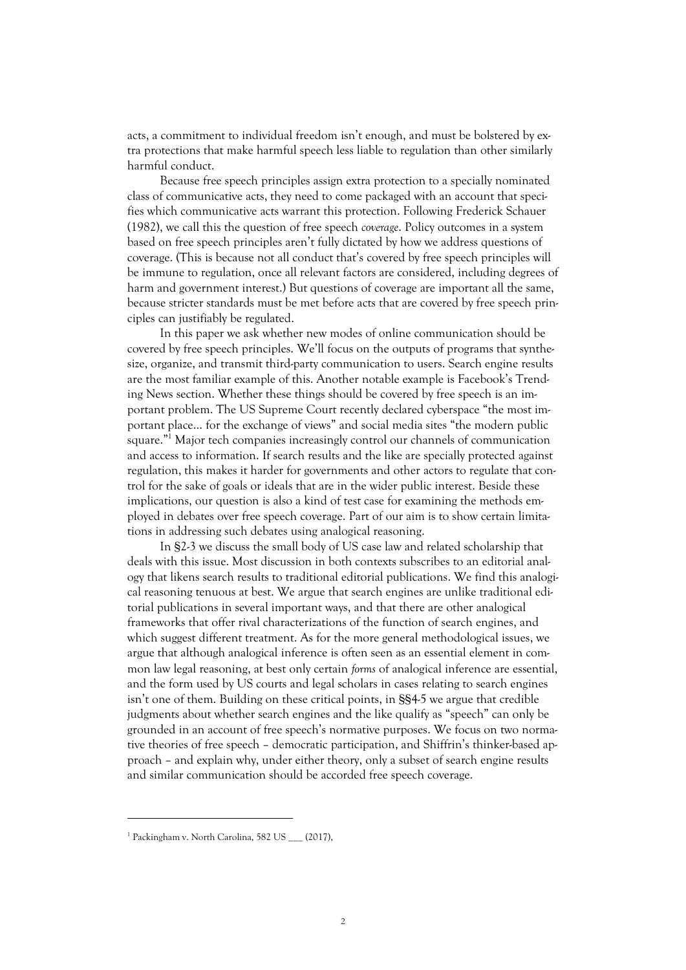acts, a commitment to individual freedom isn't enough, and must be bolstered by extra protections that make harmful speech less liable to regulation than other similarly harmful conduct.

Because free speech principles assign extra protection to a specially nominated class of communicative acts, they need to come packaged with an account that specifies which communicative acts warrant this protection. Following Frederick Schauer (1982), we call this the question of free speech *coverage*. Policy outcomes in a system based on free speech principles aren't fully dictated by how we address questions of coverage. (This is because not all conduct that's covered by free speech principles will be immune to regulation, once all relevant factors are considered, including degrees of harm and government interest.) But questions of coverage are important all the same, because stricter standards must be met before acts that are covered by free speech principles can justifiably be regulated.

In this paper we ask whether new modes of online communication should be covered by free speech principles. We'll focus on the outputs of programs that synthesize, organize, and transmit third-party communication to users. Search engine results are the most familiar example of this. Another notable example is Facebook's Trending News section. Whether these things should be covered by free speech is an important problem. The US Supreme Court recently declared cyberspace "the most important place… for the exchange of views" and social media sites "the modern public square." <sup>1</sup> Major tech companies increasingly control our channels of communication and access to information. If search results and the like are specially protected against regulation, this makes it harder for governments and other actors to regulate that control for the sake of goals or ideals that are in the wider public interest. Beside these implications, our question is also a kind of test case for examining the methods employed in debates over free speech coverage. Part of our aim is to show certain limitations in addressing such debates using analogical reasoning.

In §2-3 we discuss the small body of US case law and related scholarship that deals with this issue. Most discussion in both contexts subscribes to an editorial analogy that likens search results to traditional editorial publications. We find this analogical reasoning tenuous at best. We argue that search engines are unlike traditional editorial publications in several important ways, and that there are other analogical frameworks that offer rival characterizations of the function of search engines, and which suggest different treatment. As for the more general methodological issues, we argue that although analogical inference is often seen as an essential element in common law legal reasoning, at best only certain *forms* of analogical inference are essential, and the form used by US courts and legal scholars in cases relating to search engines isn't one of them. Building on these critical points, in §§4-5 we argue that credible judgments about whether search engines and the like qualify as "speech" can only be grounded in an account of free speech's normative purposes. We focus on two normative theories of free speech – democratic participation, and Shiffrin's thinker-based approach – and explain why, under either theory, only a subset of search engine results and similar communication should be accorded free speech coverage.

<sup>1</sup> Packingham v. North Carolina, 582 US \_\_\_ (2017),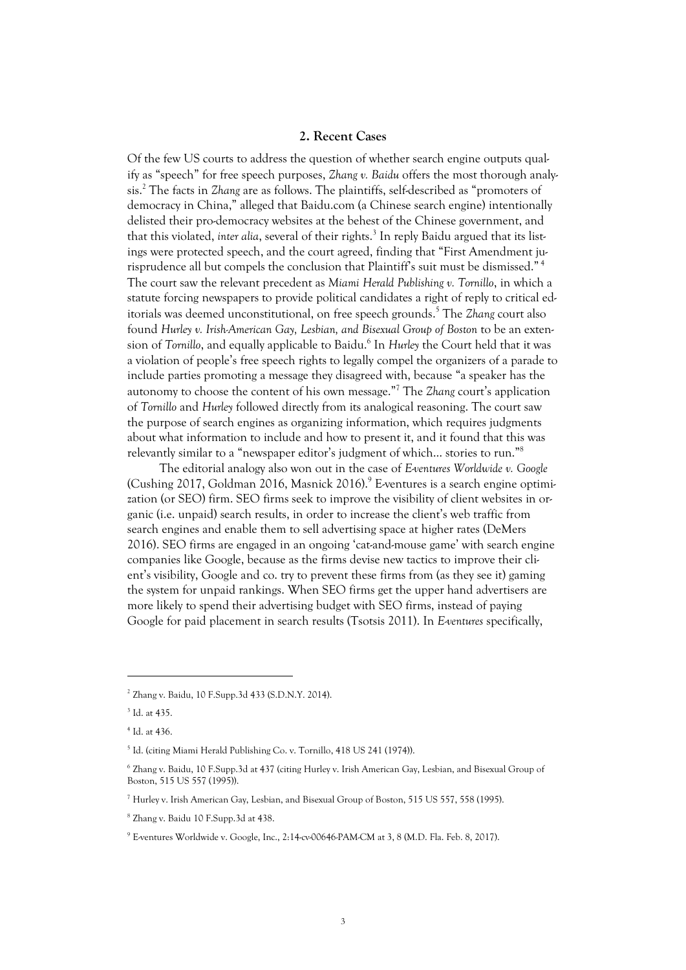# **2. Recent Cases**

Of the few US courts to address the question of whether search engine outputs qualify as "speech" for free speech purposes, *Zhang v. Baidu* offers the most thorough analysis.<sup>2</sup> The facts in *Zhang* are as follows. The plaintiffs, self-described as "promoters of democracy in China," alleged that Baidu.com (a Chinese search engine) intentionally delisted their pro-democracy websites at the behest of the Chinese government, and that this violated, *inter alia*, several of their rights.<sup>3</sup> In reply Baidu argued that its listings were protected speech, and the court agreed, finding that "First Amendment jurisprudence all but compels the conclusion that Plaintiff's suit must be dismissed." <sup>4</sup> The court saw the relevant precedent as *Miami Herald Publishing v. Tornillo*, in which a statute forcing newspapers to provide political candidates a right of reply to critical editorials was deemed unconstitutional, on free speech grounds. <sup>5</sup> The *Zhang* court also found *Hurley v. Irish-American Gay, Lesbian, and Bisexual Group of Boston* to be an extension of *Tornillo*, and equally applicable to Baidu.<sup>6</sup> In *Hurley* the Court held that it was a violation of people's free speech rights to legally compel the organizers of a parade to include parties promoting a message they disagreed with, because "a speaker has the autonomy to choose the content of his own message."<sup>7</sup> The *Zhang* court's application of *Tornillo* and *Hurley* followed directly from its analogical reasoning. The court saw the purpose of search engines as organizing information, which requires judgments about what information to include and how to present it, and it found that this was relevantly similar to a "newspaper editor's judgment of which… stories to run."<sup>8</sup>

The editorial analogy also won out in the case of *Eventures Worldwide v. Google* (Cushing 2017, Goldman 2016, Masnick 2016).<sup>9</sup> E-ventures is a search engine optimization (or SEO) firm. SEO firms seek to improve the visibility of client websites in organic (i.e. unpaid) search results, in order to increase the client's web traffic from search engines and enable them to sell advertising space at higher rates (DeMers 2016). SEO firms are engaged in an ongoing 'cat-and-mouse game' with search engine companies like Google, because as the firms devise new tactics to improve their client's visibility, Google and co. try to prevent these firms from (as they see it) gaming the system for unpaid rankings. When SEO firms get the upper hand advertisers are more likely to spend their advertising budget with SEO firms, instead of paying Google for paid placement in search results (Tsotsis 2011). In *E-ventures* specifically,

<sup>2</sup> Zhang v. Baidu, 10 F.Supp.3d 433 (S.D.N.Y. 2014).

<sup>3</sup> Id. at 435.

<sup>4</sup> Id. at 436.

<sup>5</sup> Id. (citing Miami Herald Publishing Co. v. Tornillo, 418 US 241 (1974)).

<sup>6</sup> Zhang v. Baidu, 10 F.Supp.3d at 437 (citing Hurley v. Irish American Gay, Lesbian, and Bisexual Group of Boston, 515 US 557 (1995)).

<sup>7</sup> Hurley v. Irish American Gay, Lesbian, and Bisexual Group of Boston, 515 US 557, 558 (1995).

<sup>8</sup> Zhang v. Baidu 10 F.Supp.3d at 438.

<sup>&</sup>lt;sup>9</sup> Eventures Worldwide v. Google, Inc., 2:14-cv-00646-PAM-CM at 3, 8 (M.D. Fla. Feb. 8, 2017).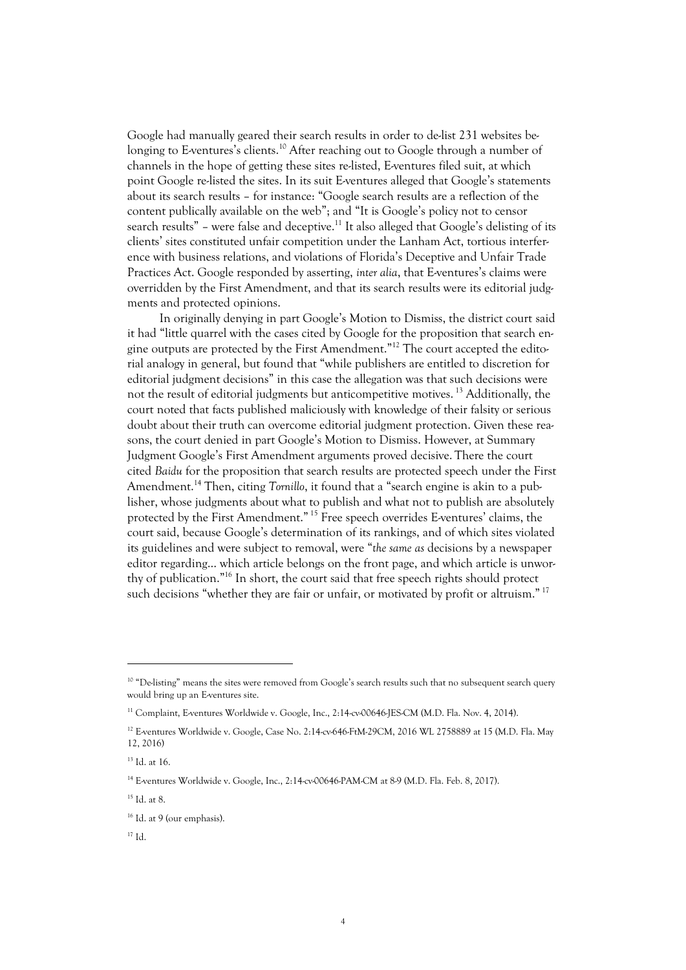Google had manually geared their search results in order to de-list 231 websites belonging to E-ventures's clients.<sup>10</sup> After reaching out to Google through a number of channels in the hope of getting these sites re-listed, E-ventures filed suit, at which point Google re-listed the sites. In its suit E-ventures alleged that Google's statements about its search results – for instance: "Google search results are a reflection of the content publically available on the web"; and "It is Google's policy not to censor search results" – were false and deceptive.<sup>11</sup> It also alleged that Google's delisting of its clients' sites constituted unfair competition under the Lanham Act, tortious interference with business relations, and violations of Florida's Deceptive and Unfair Trade Practices Act. Google responded by asserting, *inter alia*, that E-ventures's claims were overridden by the First Amendment, and that its search results were its editorial judgments and protected opinions.

In originally denying in part Google's Motion to Dismiss, the district court said it had "little quarrel with the cases cited by Google for the proposition that search engine outputs are protected by the First Amendment."<sup>12</sup> The court accepted the editorial analogy in general, but found that "while publishers are entitled to discretion for editorial judgment decisions" in this case the allegation was that such decisions were not the result of editorial judgments but anticompetitive motives.<sup>13</sup> Additionally, the court noted that facts published maliciously with knowledge of their falsity or serious doubt about their truth can overcome editorial judgment protection. Given these reasons, the court denied in part Google's Motion to Dismiss. However, at Summary Judgment Google's First Amendment arguments proved decisive. There the court cited *Baidu* for the proposition that search results are protected speech under the First Amendment.<sup>14</sup> Then, citing *Tornillo*, it found that a "search engine is akin to a publisher, whose judgments about what to publish and what not to publish are absolutely protected by the First Amendment." <sup>15</sup> Free speech overrides Eventures' claims, the court said, because Google's determination of its rankings, and of which sites violated its guidelines and were subject to removal, were "*the same as* decisions by a newspaper editor regarding… which article belongs on the front page, and which article is unworthy of publication." <sup>16</sup> In short, the court said that free speech rights should protect such decisions "whether they are fair or unfair, or motivated by profit or altruism."<sup>17</sup>

<sup>&</sup>lt;sup>10</sup> "De-listing" means the sites were removed from Google's search results such that no subsequent search query would bring up an E-ventures site.

<sup>&</sup>lt;sup>11</sup> Complaint, E-ventures Worldwide v. Google, Inc., 2:14-cv-00646-JES-CM (M.D. Fla. Nov. 4, 2014).

<sup>&</sup>lt;sup>12</sup> Eventures Worldwide v. Google, Case No. 2:14-cv-646-FtM-29CM, 2016 WL 2758889 at 15 (M.D. Fla. May 12, 2016)

 $^{13}$  Id. at 16.  $\,$ 

<sup>&</sup>lt;sup>14</sup> E-ventures Worldwide v. Google, Inc., 2:14-cv-00646-PAM-CM at 8-9 (M.D. Fla. Feb. 8, 2017).

<sup>&</sup>lt;sup>15</sup> Id. at 8.

<sup>&</sup>lt;sup>16</sup> Id. at 9 (our emphasis).

<sup>17</sup> Id.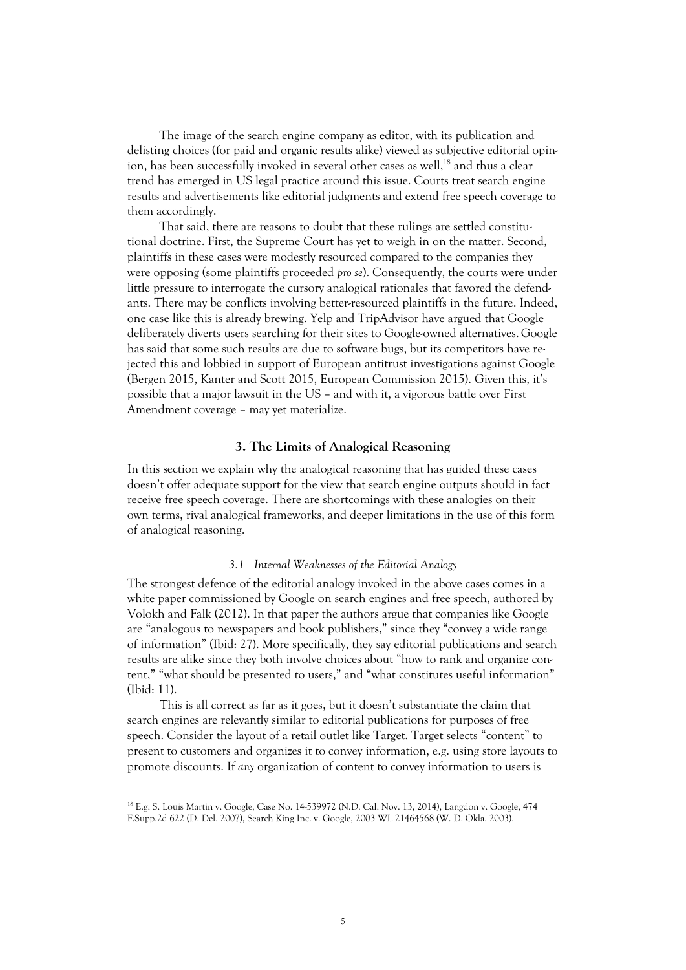The image of the search engine company as editor, with its publication and delisting choices (for paid and organic results alike) viewed as subjective editorial opinion, has been successfully invoked in several other cases as well, <sup>18</sup> and thus a clear trend has emerged in US legal practice around this issue. Courts treat search engine results and advertisements like editorial judgments and extend free speech coverage to them accordingly.

That said, there are reasons to doubt that these rulings are settled constitutional doctrine. First, the Supreme Court has yet to weigh in on the matter. Second, plaintiffs in these cases were modestly resourced compared to the companies they were opposing (some plaintiffs proceeded *pro se*). Consequently, the courts were under little pressure to interrogate the cursory analogical rationales that favored the defendants. There may be conflicts involving better-resourced plaintiffs in the future. Indeed, one case like this is already brewing. Yelp and TripAdvisor have argued that Google deliberately diverts users searching for their sites to Google-owned alternatives.Google has said that some such results are due to software bugs, but its competitors have rejected this and lobbied in support of European antitrust investigations against Google (Bergen 2015, Kanter and Scott 2015, European Commission 2015). Given this, it's possible that a major lawsuit in the US – and with it, a vigorous battle over First Amendment coverage – may yet materialize.

## **3. The Limits of Analogical Reasoning**

In this section we explain why the analogical reasoning that has guided these cases doesn't offer adequate support for the view that search engine outputs should in fact receive free speech coverage. There are shortcomings with these analogies on their own terms, rival analogical frameworks, and deeper limitations in the use of this form of analogical reasoning.

## *3.1 Internal Weaknesses of the Editorial Analogy*

The strongest defence of the editorial analogy invoked in the above cases comes in a white paper commissioned by Google on search engines and free speech, authored by Volokh and Falk (2012). In that paper the authors argue that companies like Google are "analogous to newspapers and book publishers," since they "convey a wide range of information" (Ibid: 27). More specifically, they say editorial publications and search results are alike since they both involve choices about "how to rank and organize content," "what should be presented to users," and "what constitutes useful information" (Ibid: 11).

This is all correct as far as it goes, but it doesn't substantiate the claim that search engines are relevantly similar to editorial publications for purposes of free speech. Consider the layout of a retail outlet like Target. Target selects "content" to present to customers and organizes it to convey information, e.g. using store layouts to promote discounts. If *any* organization of content to convey information to users is

<sup>18</sup> E.g. S. Louis Martin v. Google, Case No. 14-539972 (N.D. Cal. Nov. 13, 2014), Langdon v. Google, 474 F.Supp.2d 622 (D. Del. 2007), Search King Inc. v. Google, 2003 WL 21464568 (W. D. Okla. 2003).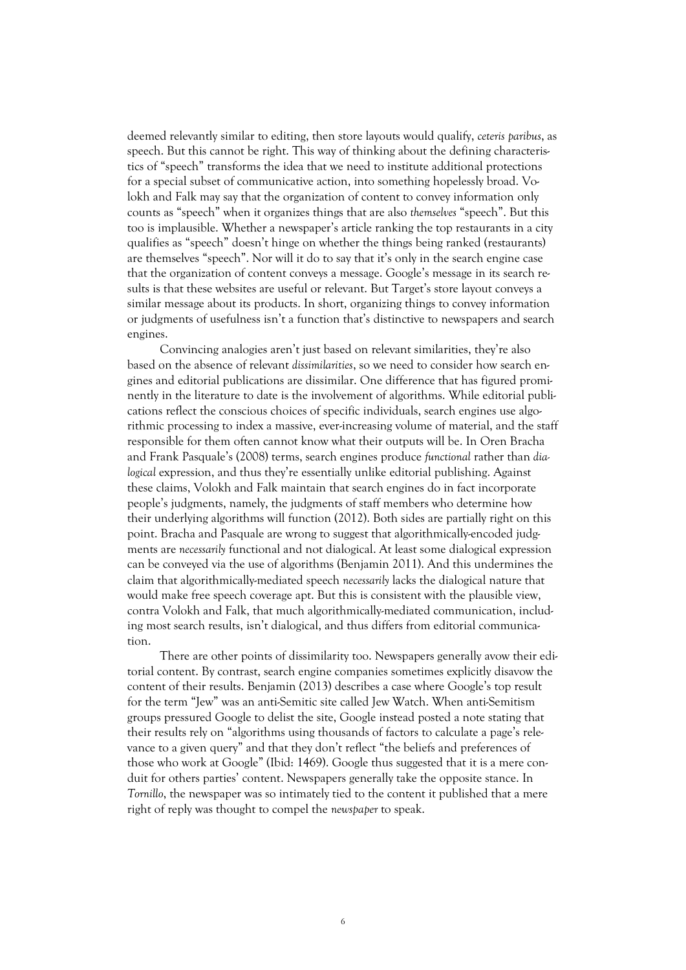deemed relevantly similar to editing, then store layouts would qualify, *ceteris paribus*, as speech. But this cannot be right. This way of thinking about the defining characteristics of "speech" transforms the idea that we need to institute additional protections for a special subset of communicative action, into something hopelessly broad. Volokh and Falk may say that the organization of content to convey information only counts as "speech" when it organizes things that are also *themselves* "speech". But this too is implausible. Whether a newspaper's article ranking the top restaurants in a city qualifies as "speech" doesn't hinge on whether the things being ranked (restaurants) are themselves "speech". Nor will it do to say that it's only in the search engine case that the organization of content conveys a message. Google's message in its search results is that these websites are useful or relevant. But Target's store layout conveys a similar message about its products. In short, organizing things to convey information or judgments of usefulness isn't a function that's distinctive to newspapers and search engines.

Convincing analogies aren't just based on relevant similarities, they're also based on the absence of relevant *dissimilarities*, so we need to consider how search engines and editorial publications are dissimilar. One difference that has figured prominently in the literature to date is the involvement of algorithms. While editorial publications reflect the conscious choices of specific individuals, search engines use algorithmic processing to index a massive, ever-increasing volume of material, and the staff responsible for them often cannot know what their outputs will be. In Oren Bracha and Frank Pasquale's (2008) terms, search engines produce *functional* rather than *dialogical* expression, and thus they're essentially unlike editorial publishing. Against these claims, Volokh and Falk maintain that search engines do in fact incorporate people's judgments, namely, the judgments of staff members who determine how their underlying algorithms will function (2012). Both sides are partially right on this point. Bracha and Pasquale are wrong to suggest that algorithmically-encoded judgments are *necessarily* functional and not dialogical. At least some dialogical expression can be conveyed via the use of algorithms (Benjamin 2011). And this undermines the claim that algorithmically-mediated speech *necessarily* lacks the dialogical nature that would make free speech coverage apt. But this is consistent with the plausible view, contra Volokh and Falk, that much algorithmically-mediated communication, including most search results, isn't dialogical, and thus differs from editorial communication.

There are other points of dissimilarity too. Newspapers generally avow their editorial content. By contrast, search engine companies sometimes explicitly disavow the content of their results. Benjamin (2013) describes a case where Google's top result for the term "Jew" was an anti-Semitic site called Jew Watch. When anti-Semitism groups pressured Google to delist the site, Google instead posted a note stating that their results rely on "algorithms using thousands of factors to calculate a page's relevance to a given query" and that they don't reflect "the beliefs and preferences of those who work at Google" (Ibid: 1469). Google thus suggested that it is a mere conduit for others parties' content. Newspapers generally take the opposite stance. In *Tornillo*, the newspaper was so intimately tied to the content it published that a mere right of reply was thought to compel the *newspaper* to speak.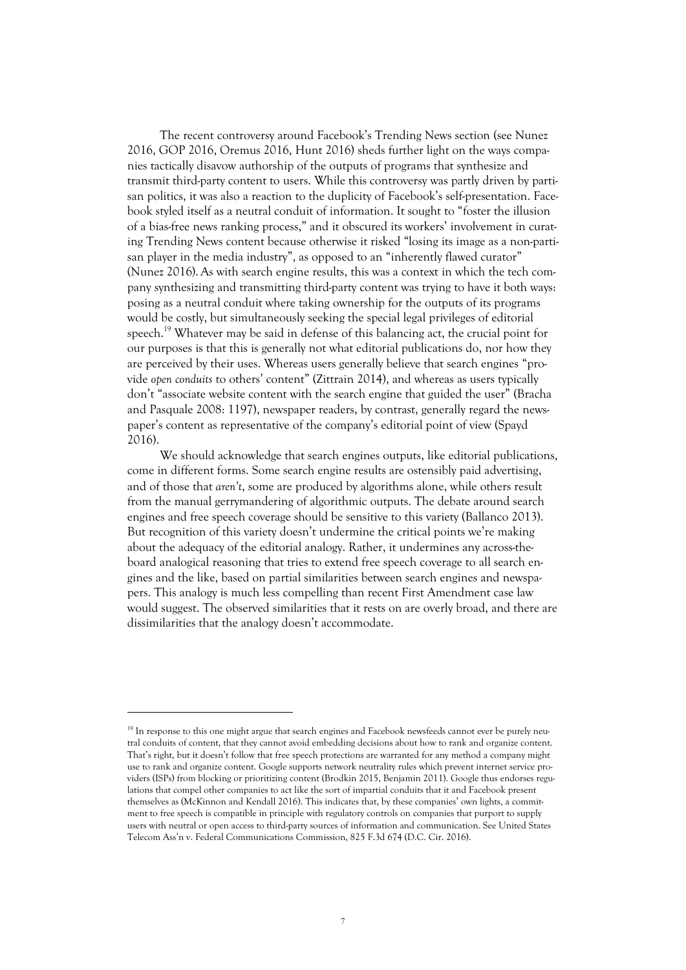The recent controversy around Facebook's Trending News section (see Nunez 2016, GOP 2016, Oremus 2016, Hunt 2016) sheds further light on the ways companies tactically disavow authorship of the outputs of programs that synthesize and transmit third-party content to users. While this controversy was partly driven by partisan politics, it was also a reaction to the duplicity of Facebook's self-presentation. Facebook styled itself as a neutral conduit of information. It sought to "foster the illusion of a bias-free news ranking process," and it obscured its workers' involvement in curating Trending News content because otherwise it risked "losing its image as a non-partisan player in the media industry", as opposed to an "inherently flawed curator" (Nunez 2016).As with search engine results, this was a context in which the tech company synthesizing and transmitting third-party content was trying to have it both ways: posing as a neutral conduit where taking ownership for the outputs of its programs would be costly, but simultaneously seeking the special legal privileges of editorial speech.<sup>19</sup> Whatever may be said in defense of this balancing act, the crucial point for our purposes is that this is generally not what editorial publications do, nor how they are perceived by their uses. Whereas users generally believe that search engines "provide *open conduits* to others' content" (Zittrain 2014), and whereas as users typically don't "associate website content with the search engine that guided the user" (Bracha and Pasquale 2008: 1197), newspaper readers, by contrast, generally regard the newspaper's content as representative of the company's editorial point of view (Spayd 2016).

We should acknowledge that search engines outputs, like editorial publications, come in different forms. Some search engine results are ostensibly paid advertising, and of those that *aren't*, some are produced by algorithms alone, while others result from the manual gerrymandering of algorithmic outputs. The debate around search engines and free speech coverage should be sensitive to this variety (Ballanco 2013). But recognition of this variety doesn't undermine the critical points we're making about the adequacy of the editorial analogy. Rather, it undermines any across-theboard analogical reasoning that tries to extend free speech coverage to all search engines and the like, based on partial similarities between search engines and newspapers. This analogy is much less compelling than recent First Amendment case law would suggest. The observed similarities that it rests on are overly broad, and there are dissimilarities that the analogy doesn't accommodate.

<sup>&</sup>lt;sup>19</sup> In response to this one might argue that search engines and Facebook newsfeeds cannot ever be purely neutral conduits of content, that they cannot avoid embedding decisions about how to rank and organize content. That's right, but it doesn't follow that free speech protections are warranted for any method a company might use to rank and organize content. Google supports network neutrality rules which prevent internet service providers (ISPs) from blocking or prioritizing content (Brodkin 2015, Benjamin 2011). Google thus endorses regulations that compel other companies to act like the sort of impartial conduits that it and Facebook present themselves as (McKinnon and Kendall 2016). This indicates that, by these companies' own lights, a commitment to free speech is compatible in principle with regulatory controls on companies that purport to supply users with neutral or open access to third-party sources of information and communication. See United States Telecom Ass'n v. Federal Communications Commission, 825 F.3d 674 (D.C. Cir. 2016).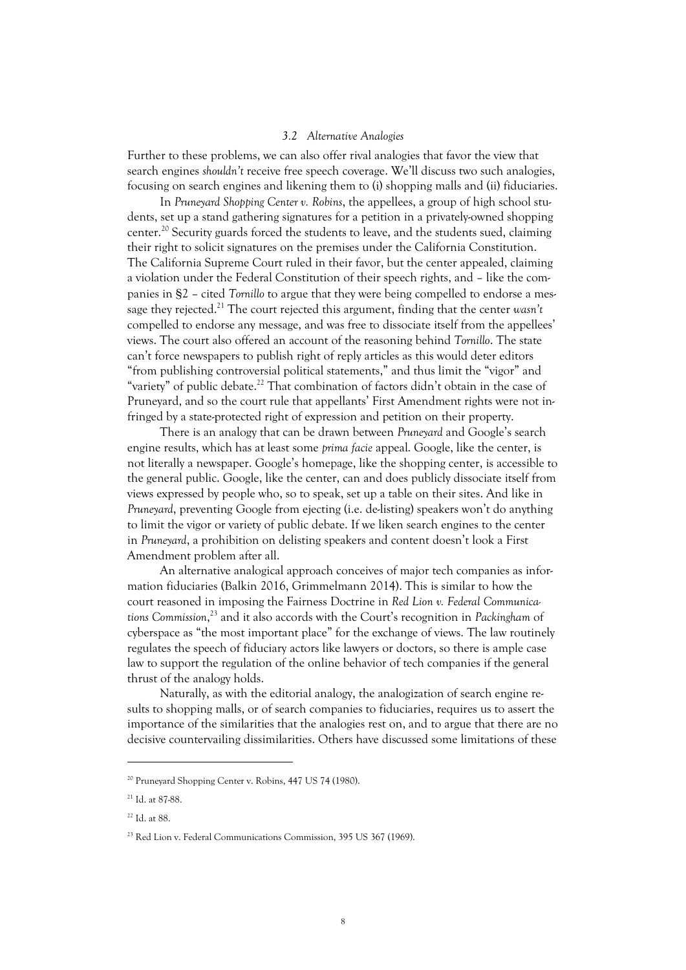## *3.2 Alternative Analogies*

Further to these problems, we can also offer rival analogies that favor the view that search engines *shouldn't* receive free speech coverage. We'll discuss two such analogies, focusing on search engines and likening them to (i) shopping malls and (ii) fiduciaries.

In *Pruneyard Shopping Center v. Robins*, the appellees, a group of high school students, set up a stand gathering signatures for a petition in a privately-owned shopping center.<sup>20</sup> Security guards forced the students to leave, and the students sued, claiming their right to solicit signatures on the premises under the California Constitution. The California Supreme Court ruled in their favor, but the center appealed, claiming a violation under the Federal Constitution of their speech rights, and – like the companies in §2 – cited *Tornillo* to argue that they were being compelled to endorse a message they rejected. <sup>21</sup> The court rejected this argument, finding that the center *wasn't* compelled to endorse any message, and was free to dissociate itself from the appellees' views. The court also offered an account of the reasoning behind *Tornillo*. The state can't force newspapers to publish right of reply articles as this would deter editors "from publishing controversial political statements," and thus limit the "vigor" and "variety" of public debate.<sup>22</sup> That combination of factors didn't obtain in the case of Pruneyard, and so the court rule that appellants' First Amendment rights were not infringed by a state-protected right of expression and petition on their property.

There is an analogy that can be drawn between *Pruneyard* and Google's search engine results, which has at least some *prima facie* appeal. Google, like the center, is not literally a newspaper. Google's homepage, like the shopping center, is accessible to the general public. Google, like the center, can and does publicly dissociate itself from views expressed by people who, so to speak, set up a table on their sites. And like in *Pruneyard*, preventing Google from ejecting (i.e. de-listing) speakers won't do anything to limit the vigor or variety of public debate. If we liken search engines to the center in *Pruneyard*, a prohibition on delisting speakers and content doesn't look a First Amendment problem after all.

An alternative analogical approach conceives of major tech companies as information fiduciaries (Balkin 2016, Grimmelmann 2014). This is similar to how the court reasoned in imposing the Fairness Doctrine in *Red Lion v. Federal Communications Commission*, <sup>23</sup> and it also accords with the Court's recognition in *Packingham* of cyberspace as "the most important place" for the exchange of views. The law routinely regulates the speech of fiduciary actors like lawyers or doctors, so there is ample case law to support the regulation of the online behavior of tech companies if the general thrust of the analogy holds.

Naturally, as with the editorial analogy, the analogization of search engine results to shopping malls, or of search companies to fiduciaries, requires us to assert the importance of the similarities that the analogies rest on, and to argue that there are no decisive countervailing dissimilarities. Others have discussed some limitations of these

<sup>20</sup> Pruneyard Shopping Center v. Robins, 447 US 74 (1980).

<sup>21</sup> Id. at 87-88.

<sup>22</sup> Id. at 88.

<sup>&</sup>lt;sup>23</sup> Red Lion v. Federal Communications Commission, 395 US 367 (1969).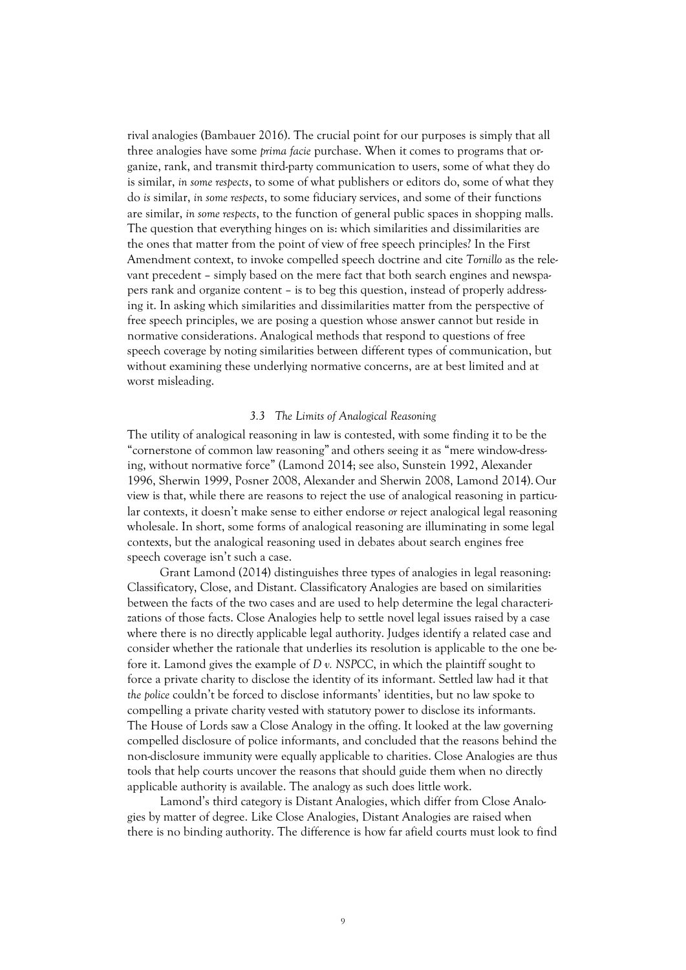rival analogies (Bambauer 2016). The crucial point for our purposes is simply that all three analogies have some *prima facie* purchase. When it comes to programs that organize, rank, and transmit third-party communication to users, some of what they do is similar, *in some respects*, to some of what publishers or editors do, some of what they do *is* similar, *in some respects*, to some fiduciary services, and some of their functions are similar, *in some respects*, to the function of general public spaces in shopping malls. The question that everything hinges on is: which similarities and dissimilarities are the ones that matter from the point of view of free speech principles? In the First Amendment context, to invoke compelled speech doctrine and cite *Tornillo* as the relevant precedent – simply based on the mere fact that both search engines and newspapers rank and organize content – is to beg this question, instead of properly addressing it. In asking which similarities and dissimilarities matter from the perspective of free speech principles, we are posing a question whose answer cannot but reside in normative considerations. Analogical methods that respond to questions of free speech coverage by noting similarities between different types of communication, but without examining these underlying normative concerns, are at best limited and at worst misleading.

#### *3.3 The Limits of Analogical Reasoning*

The utility of analogical reasoning in law is contested, with some finding it to be the "cornerstone of common law reasoning" and others seeing it as "mere window-dressing, without normative force" (Lamond 2014; see also, Sunstein 1992, Alexander 1996, Sherwin 1999, Posner 2008, Alexander and Sherwin 2008, Lamond 2014).Our view is that, while there are reasons to reject the use of analogical reasoning in particular contexts, it doesn't make sense to either endorse *or* reject analogical legal reasoning wholesale. In short, some forms of analogical reasoning are illuminating in some legal contexts, but the analogical reasoning used in debates about search engines free speech coverage isn't such a case.

Grant Lamond (2014) distinguishes three types of analogies in legal reasoning: Classificatory, Close, and Distant. Classificatory Analogies are based on similarities between the facts of the two cases and are used to help determine the legal characterizations of those facts. Close Analogies help to settle novel legal issues raised by a case where there is no directly applicable legal authority. Judges identify a related case and consider whether the rationale that underlies its resolution is applicable to the one before it. Lamond gives the example of *D v. NSPCC*, in which the plaintiff sought to force a private charity to disclose the identity of its informant. Settled law had it that *the police* couldn't be forced to disclose informants' identities, but no law spoke to compelling a private charity vested with statutory power to disclose its informants. The House of Lords saw a Close Analogy in the offing. It looked at the law governing compelled disclosure of police informants, and concluded that the reasons behind the non-disclosure immunity were equally applicable to charities. Close Analogies are thus tools that help courts uncover the reasons that should guide them when no directly applicable authority is available. The analogy as such does little work.

Lamond's third category is Distant Analogies, which differ from Close Analogies by matter of degree. Like Close Analogies, Distant Analogies are raised when there is no binding authority. The difference is how far afield courts must look to find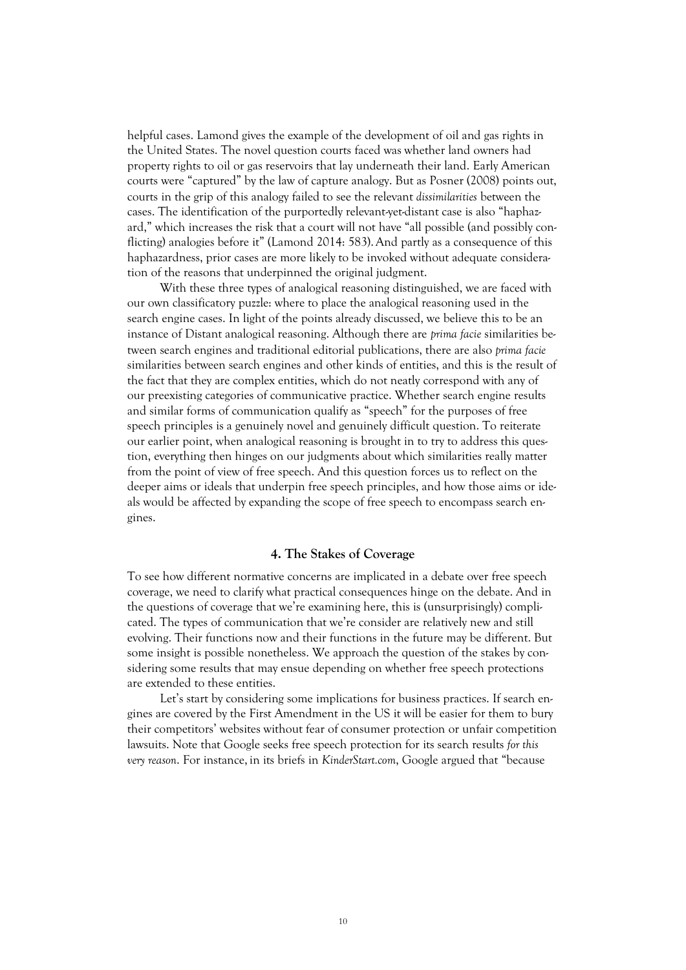helpful cases. Lamond gives the example of the development of oil and gas rights in the United States. The novel question courts faced was whether land owners had property rights to oil or gas reservoirs that lay underneath their land. Early American courts were "captured" by the law of capture analogy. But as Posner (2008) points out, courts in the grip of this analogy failed to see the relevant *dissimilarities* between the cases. The identification of the purportedly relevant-yet-distant case is also "haphazard," which increases the risk that a court will not have "all possible (and possibly conflicting) analogies before it" (Lamond 2014: 583).And partly as a consequence of this haphazardness, prior cases are more likely to be invoked without adequate consideration of the reasons that underpinned the original judgment.

With these three types of analogical reasoning distinguished, we are faced with our own classificatory puzzle: where to place the analogical reasoning used in the search engine cases. In light of the points already discussed, we believe this to be an instance of Distant analogical reasoning. Although there are *prima facie* similarities between search engines and traditional editorial publications, there are also *prima facie*  similarities between search engines and other kinds of entities, and this is the result of the fact that they are complex entities, which do not neatly correspond with any of our preexisting categories of communicative practice. Whether search engine results and similar forms of communication qualify as "speech" for the purposes of free speech principles is a genuinely novel and genuinely difficult question. To reiterate our earlier point, when analogical reasoning is brought in to try to address this question, everything then hinges on our judgments about which similarities really matter from the point of view of free speech. And this question forces us to reflect on the deeper aims or ideals that underpin free speech principles, and how those aims or ideals would be affected by expanding the scope of free speech to encompass search engines.

## **4. The Stakes of Coverage**

To see how different normative concerns are implicated in a debate over free speech coverage, we need to clarify what practical consequences hinge on the debate. And in the questions of coverage that we're examining here, this is (unsurprisingly) complicated. The types of communication that we're consider are relatively new and still evolving. Their functions now and their functions in the future may be different. But some insight is possible nonetheless. We approach the question of the stakes by considering some results that may ensue depending on whether free speech protections are extended to these entities.

Let's start by considering some implications for business practices. If search engines are covered by the First Amendment in the US it will be easier for them to bury their competitors' websites without fear of consumer protection or unfair competition lawsuits. Note that Google seeks free speech protection for its search results *for this very reason*. For instance, in its briefs in *KinderStart.com*, Google argued that "because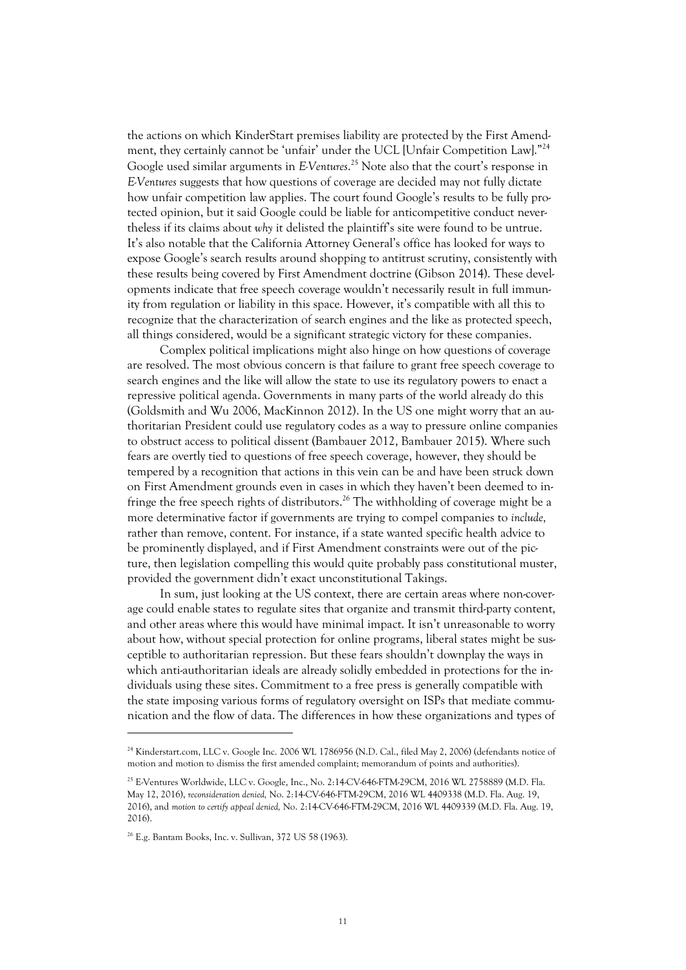the actions on which KinderStart premises liability are protected by the First Amendment, they certainly cannot be 'unfair' under the UCL [Unfair Competition Law]."<sup>24</sup> Google used similar arguments in *E-Ventures*. <sup>25</sup> Note also that the court's response in *E-Ventures* suggests that how questions of coverage are decided may not fully dictate how unfair competition law applies. The court found Google's results to be fully protected opinion, but it said Google could be liable for anticompetitive conduct nevertheless if its claims about *why* it delisted the plaintiff's site were found to be untrue. It's also notable that the California Attorney General's office has looked for ways to expose Google's search results around shopping to antitrust scrutiny, consistently with these results being covered by First Amendment doctrine (Gibson 2014). These developments indicate that free speech coverage wouldn't necessarily result in full immunity from regulation or liability in this space. However, it's compatible with all this to recognize that the characterization of search engines and the like as protected speech, all things considered, would be a significant strategic victory for these companies.

Complex political implications might also hinge on how questions of coverage are resolved. The most obvious concern is that failure to grant free speech coverage to search engines and the like will allow the state to use its regulatory powers to enact a repressive political agenda. Governments in many parts of the world already do this (Goldsmith and Wu 2006, MacKinnon 2012). In the US one might worry that an authoritarian President could use regulatory codes as a way to pressure online companies to obstruct access to political dissent (Bambauer 2012, Bambauer 2015). Where such fears are overtly tied to questions of free speech coverage, however, they should be tempered by a recognition that actions in this vein can be and have been struck down on First Amendment grounds even in cases in which they haven't been deemed to infringe the free speech rights of distributors.<sup>26</sup> The withholding of coverage might be a more determinative factor if governments are trying to compel companies to *include,*  rather than remove, content. For instance, if a state wanted specific health advice to be prominently displayed, and if First Amendment constraints were out of the picture, then legislation compelling this would quite probably pass constitutional muster, provided the government didn't exact unconstitutional Takings.

In sum, just looking at the US context, there are certain areas where non-coverage could enable states to regulate sites that organize and transmit third-party content, and other areas where this would have minimal impact. It isn't unreasonable to worry about how, without special protection for online programs, liberal states might be susceptible to authoritarian repression. But these fears shouldn't downplay the ways in which anti-authoritarian ideals are already solidly embedded in protections for the individuals using these sites. Commitment to a free press is generally compatible with the state imposing various forms of regulatory oversight on ISPs that mediate communication and the flow of data. The differences in how these organizations and types of

<sup>&</sup>lt;sup>24</sup> Kinderstart.com, LLC v. Google Inc. 2006 WL 1786956 (N.D. Cal., filed May 2, 2006) (defendants notice of motion and motion to dismiss the first amended complaint; memorandum of points and authorities).

<sup>&</sup>lt;sup>25</sup> E-Ventures Worldwide, LLC v. Google, Inc., No. 2:14-CV-646-FTM-29CM, 2016 WL 2758889 (M.D. Fla. May 12, 2016), *reconsideration denied,* No. 2:14-CV-646-FTM-29CM, 2016 WL 4409338 (M.D. Fla. Aug. 19, 2016), and *motion to certify appeal denied,* No. 2:14-CV-646-FTM-29CM, 2016 WL 4409339 (M.D. Fla. Aug. 19, 2016).

<sup>26</sup> E.g. Bantam Books, Inc. v. Sullivan, 372 US 58 (1963).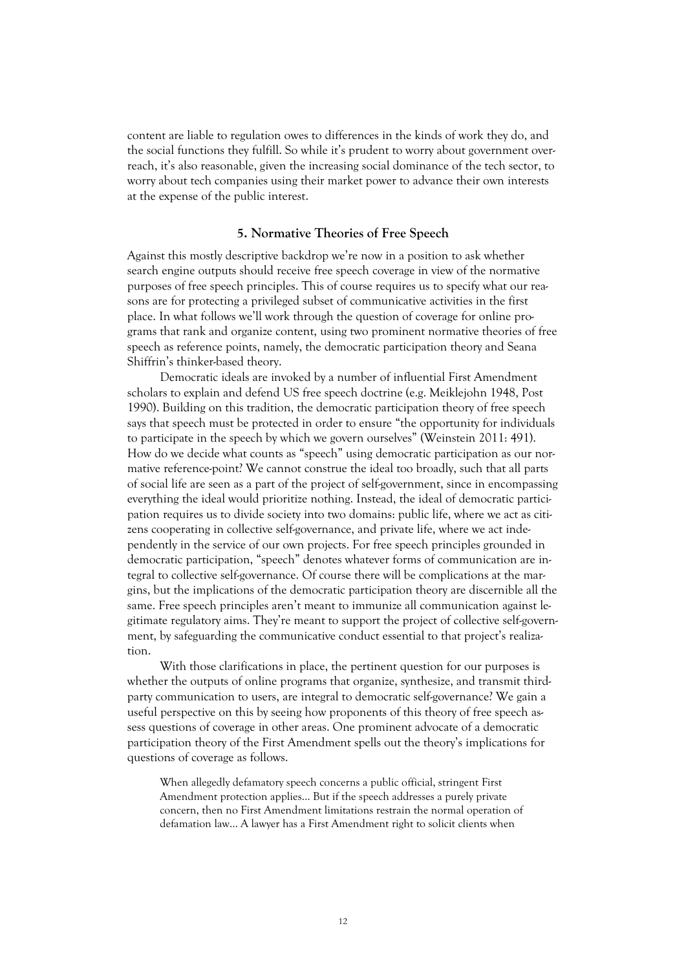content are liable to regulation owes to differences in the kinds of work they do, and the social functions they fulfill. So while it's prudent to worry about government overreach, it's also reasonable, given the increasing social dominance of the tech sector, to worry about tech companies using their market power to advance their own interests at the expense of the public interest.

## **5. Normative Theories of Free Speech**

Against this mostly descriptive backdrop we're now in a position to ask whether search engine outputs should receive free speech coverage in view of the normative purposes of free speech principles. This of course requires us to specify what our reasons are for protecting a privileged subset of communicative activities in the first place. In what follows we'll work through the question of coverage for online programs that rank and organize content, using two prominent normative theories of free speech as reference points, namely, the democratic participation theory and Seana Shiffrin's thinker-based theory.

Democratic ideals are invoked by a number of influential First Amendment scholars to explain and defend US free speech doctrine (e.g. Meiklejohn 1948, Post 1990). Building on this tradition, the democratic participation theory of free speech says that speech must be protected in order to ensure "the opportunity for individuals to participate in the speech by which we govern ourselves" (Weinstein 2011: 491). How do we decide what counts as "speech" using democratic participation as our normative reference-point? We cannot construe the ideal too broadly, such that all parts of social life are seen as a part of the project of self-government, since in encompassing everything the ideal would prioritize nothing. Instead, the ideal of democratic participation requires us to divide society into two domains: public life, where we act as citizens cooperating in collective self-governance, and private life, where we act independently in the service of our own projects. For free speech principles grounded in democratic participation, "speech" denotes whatever forms of communication are integral to collective self-governance. Of course there will be complications at the margins, but the implications of the democratic participation theory are discernible all the same. Free speech principles aren't meant to immunize all communication against legitimate regulatory aims. They're meant to support the project of collective self-government, by safeguarding the communicative conduct essential to that project's realization.

With those clarifications in place, the pertinent question for our purposes is whether the outputs of online programs that organize, synthesize, and transmit thirdparty communication to users, are integral to democratic self-governance? We gain a useful perspective on this by seeing how proponents of this theory of free speech assess questions of coverage in other areas. One prominent advocate of a democratic participation theory of the First Amendment spells out the theory's implications for questions of coverage as follows.

When allegedly defamatory speech concerns a public official, stringent First Amendment protection applies… But if the speech addresses a purely private concern, then no First Amendment limitations restrain the normal operation of defamation law… A lawyer has a First Amendment right to solicit clients when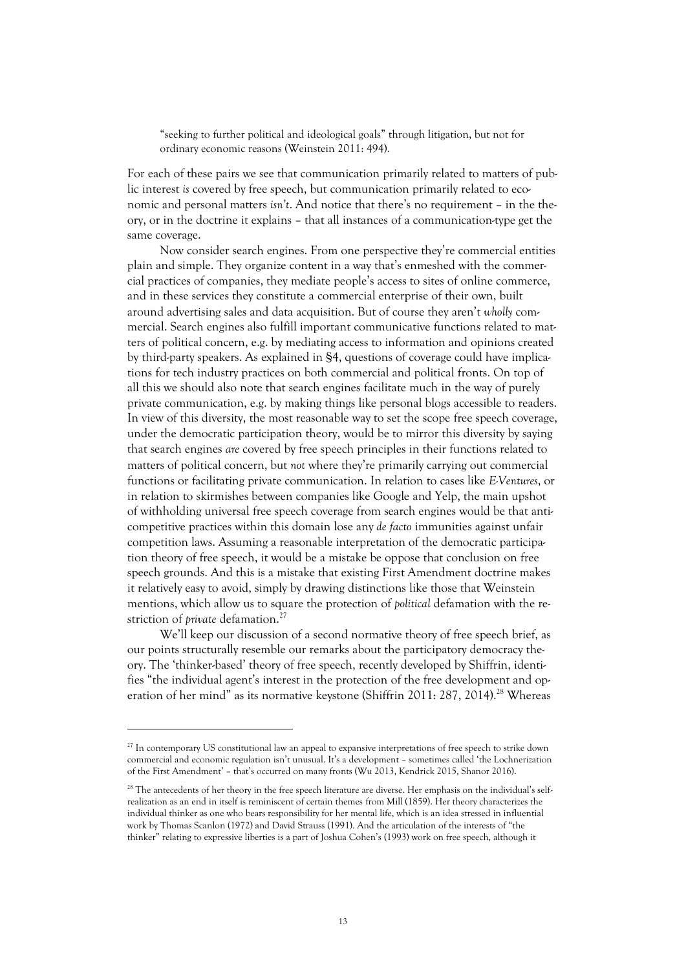"seeking to further political and ideological goals" through litigation, but not for ordinary economic reasons (Weinstein 2011: 494).

For each of these pairs we see that communication primarily related to matters of public interest *is* covered by free speech, but communication primarily related to economic and personal matters *isn't*. And notice that there's no requirement – in the theory, or in the doctrine it explains – that all instances of a communication-type get the same coverage.

Now consider search engines. From one perspective they're commercial entities plain and simple. They organize content in a way that's enmeshed with the commercial practices of companies, they mediate people's access to sites of online commerce, and in these services they constitute a commercial enterprise of their own, built around advertising sales and data acquisition. But of course they aren't *wholly* commercial. Search engines also fulfill important communicative functions related to matters of political concern, e.g. by mediating access to information and opinions created by third-party speakers. As explained in §4, questions of coverage could have implications for tech industry practices on both commercial and political fronts. On top of all this we should also note that search engines facilitate much in the way of purely private communication, e.g. by making things like personal blogs accessible to readers. In view of this diversity, the most reasonable way to set the scope free speech coverage, under the democratic participation theory, would be to mirror this diversity by saying that search engines *are* covered by free speech principles in their functions related to matters of political concern, but *not* where they're primarily carrying out commercial functions or facilitating private communication. In relation to cases like *E-Ventures*, or in relation to skirmishes between companies like Google and Yelp, the main upshot of withholding universal free speech coverage from search engines would be that anticompetitive practices within this domain lose any *de facto* immunities against unfair competition laws. Assuming a reasonable interpretation of the democratic participation theory of free speech, it would be a mistake be oppose that conclusion on free speech grounds. And this is a mistake that existing First Amendment doctrine makes it relatively easy to avoid, simply by drawing distinctions like those that Weinstein mentions, which allow us to square the protection of *political* defamation with the restriction of *private* defamation.<sup>27</sup>

We'll keep our discussion of a second normative theory of free speech brief, as our points structurally resemble our remarks about the participatory democracy theory. The 'thinker-based' theory of free speech, recently developed by Shiffrin, identifies "the individual agent's interest in the protection of the free development and operation of her mind" as its normative keystone (Shiffrin 2011: 287, 2014).<sup>28</sup> Whereas

<sup>&</sup>lt;sup>27</sup> In contemporary US constitutional law an appeal to expansive interpretations of free speech to strike down commercial and economic regulation isn't unusual. It's a development – sometimes called 'the Lochnerization of the First Amendment' – that's occurred on many fronts (Wu 2013, Kendrick 2015, Shanor 2016).

 $28$  The antecedents of her theory in the free speech literature are diverse. Her emphasis on the individual's selfrealization as an end in itself is reminiscent of certain themes from Mill (1859). Her theory characterizes the individual thinker as one who bears responsibility for her mental life, which is an idea stressed in influential work by Thomas Scanlon (1972) and David Strauss (1991). And the articulation of the interests of "the thinker" relating to expressive liberties is a part of Joshua Cohen's (1993) work on free speech, although it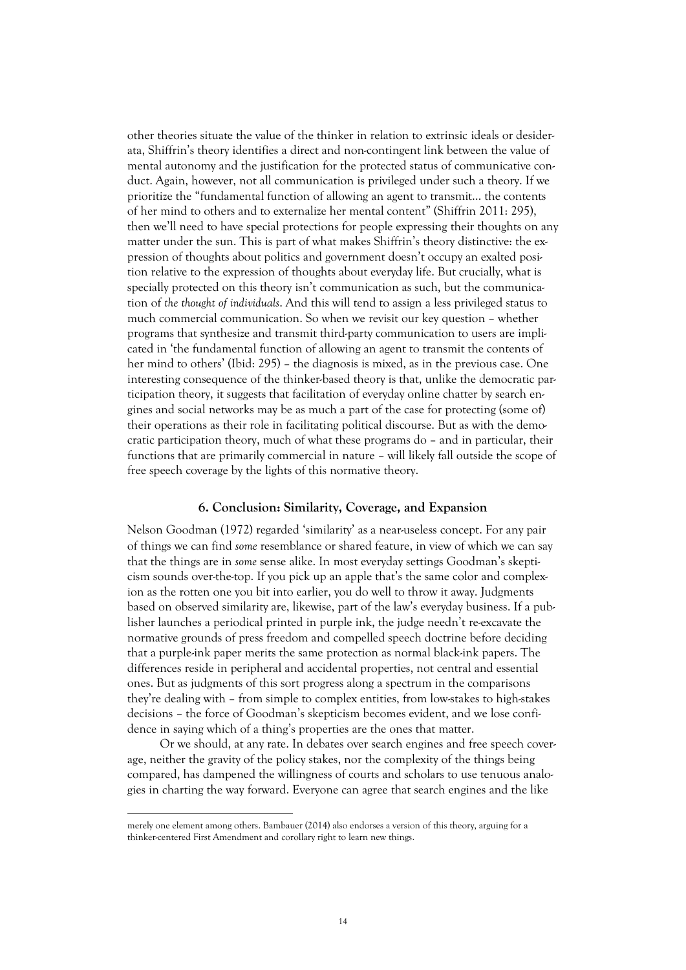other theories situate the value of the thinker in relation to extrinsic ideals or desiderata, Shiffrin's theory identifies a direct and non-contingent link between the value of mental autonomy and the justification for the protected status of communicative conduct. Again, however, not all communication is privileged under such a theory. If we prioritize the "fundamental function of allowing an agent to transmit… the contents of her mind to others and to externalize her mental content" (Shiffrin 2011: 295), then we'll need to have special protections for people expressing their thoughts on any matter under the sun. This is part of what makes Shiffrin's theory distinctive: the expression of thoughts about politics and government doesn't occupy an exalted position relative to the expression of thoughts about everyday life. But crucially, what is specially protected on this theory isn't communication as such, but the communication of *the thought of individuals*. And this will tend to assign a less privileged status to much commercial communication. So when we revisit our key question – whether programs that synthesize and transmit third-party communication to users are implicated in 'the fundamental function of allowing an agent to transmit the contents of her mind to others' (Ibid: 295) – the diagnosis is mixed, as in the previous case. One interesting consequence of the thinker-based theory is that, unlike the democratic participation theory, it suggests that facilitation of everyday online chatter by search engines and social networks may be as much a part of the case for protecting (some of) their operations as their role in facilitating political discourse. But as with the democratic participation theory, much of what these programs do – and in particular, their functions that are primarily commercial in nature – will likely fall outside the scope of free speech coverage by the lights of this normative theory.

## **6. Conclusion: Similarity, Coverage, and Expansion**

Nelson Goodman (1972) regarded 'similarity' as a near-useless concept. For any pair of things we can find *some* resemblance or shared feature, in view of which we can say that the things are in *some* sense alike. In most everyday settings Goodman's skepticism sounds over-the-top. If you pick up an apple that's the same color and complexion as the rotten one you bit into earlier, you do well to throw it away. Judgments based on observed similarity are, likewise, part of the law's everyday business. If a publisher launches a periodical printed in purple ink, the judge needn't re-excavate the normative grounds of press freedom and compelled speech doctrine before deciding that a purple-ink paper merits the same protection as normal black-ink papers. The differences reside in peripheral and accidental properties, not central and essential ones. But as judgments of this sort progress along a spectrum in the comparisons they're dealing with – from simple to complex entities, from low-stakes to high-stakes decisions – the force of Goodman's skepticism becomes evident, and we lose confidence in saying which of a thing's properties are the ones that matter.

Or we should, at any rate. In debates over search engines and free speech coverage, neither the gravity of the policy stakes, nor the complexity of the things being compared, has dampened the willingness of courts and scholars to use tenuous analogies in charting the way forward. Everyone can agree that search engines and the like

merely one element among others. Bambauer (2014) also endorses a version of this theory, arguing for a thinker-centered First Amendment and corollary right to learn new things.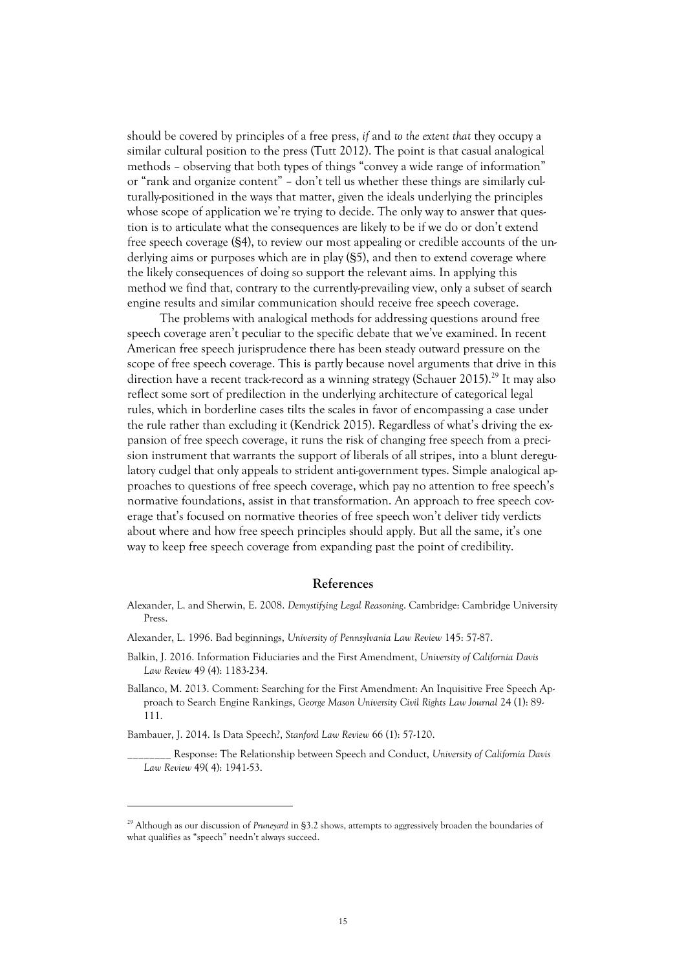should be covered by principles of a free press, *if* and *to the extent that* they occupy a similar cultural position to the press (Tutt 2012). The point is that casual analogical methods – observing that both types of things "convey a wide range of information" or "rank and organize content" – don't tell us whether these things are similarly culturally-positioned in the ways that matter, given the ideals underlying the principles whose scope of application we're trying to decide. The only way to answer that question is to articulate what the consequences are likely to be if we do or don't extend free speech coverage (§4), to review our most appealing or credible accounts of the underlying aims or purposes which are in play (§5), and then to extend coverage where the likely consequences of doing so support the relevant aims. In applying this method we find that, contrary to the currently-prevailing view, only a subset of search engine results and similar communication should receive free speech coverage.

The problems with analogical methods for addressing questions around free speech coverage aren't peculiar to the specific debate that we've examined. In recent American free speech jurisprudence there has been steady outward pressure on the scope of free speech coverage. This is partly because novel arguments that drive in this direction have a recent track-record as a winning strategy (Schauer 2015). <sup>29</sup> It may also reflect some sort of predilection in the underlying architecture of categorical legal rules, which in borderline cases tilts the scales in favor of encompassing a case under the rule rather than excluding it (Kendrick 2015). Regardless of what's driving the expansion of free speech coverage, it runs the risk of changing free speech from a precision instrument that warrants the support of liberals of all stripes, into a blunt deregulatory cudgel that only appeals to strident anti-government types. Simple analogical approaches to questions of free speech coverage, which pay no attention to free speech's normative foundations, assist in that transformation. An approach to free speech coverage that's focused on normative theories of free speech won't deliver tidy verdicts about where and how free speech principles should apply. But all the same, it's one way to keep free speech coverage from expanding past the point of credibility.

### **References**

- Alexander, L. and Sherwin, E. 2008. *Demystifying Legal Reasoning*. Cambridge: Cambridge University Press.
- Alexander, L. 1996. Bad beginnings, *University of Pennsylvania Law Review* 145: 57-87.
- Balkin, J. 2016. Information Fiduciaries and the First Amendment, *University of California Davis Law Review* 49 (4): 1183-234.
- Ballanco, M. 2013. Comment: Searching for the First Amendment: An Inquisitive Free Speech Approach to Search Engine Rankings, *George Mason University Civil Rights Law Journal* 24 (1): 89- 111.

Bambauer, J. 2014. Is Data Speech?, *Stanford Law Review* 66 (1): 57-120.

 $\overline{a}$ 

\_\_\_\_\_\_\_\_ Response: The Relationship between Speech and Conduct, *University of California Davis Law Review* 49( 4): 1941-53.

<sup>29</sup> Although as our discussion of *Pruneyard* in §3.2 shows, attempts to aggressively broaden the boundaries of what qualifies as "speech" needn't always succeed.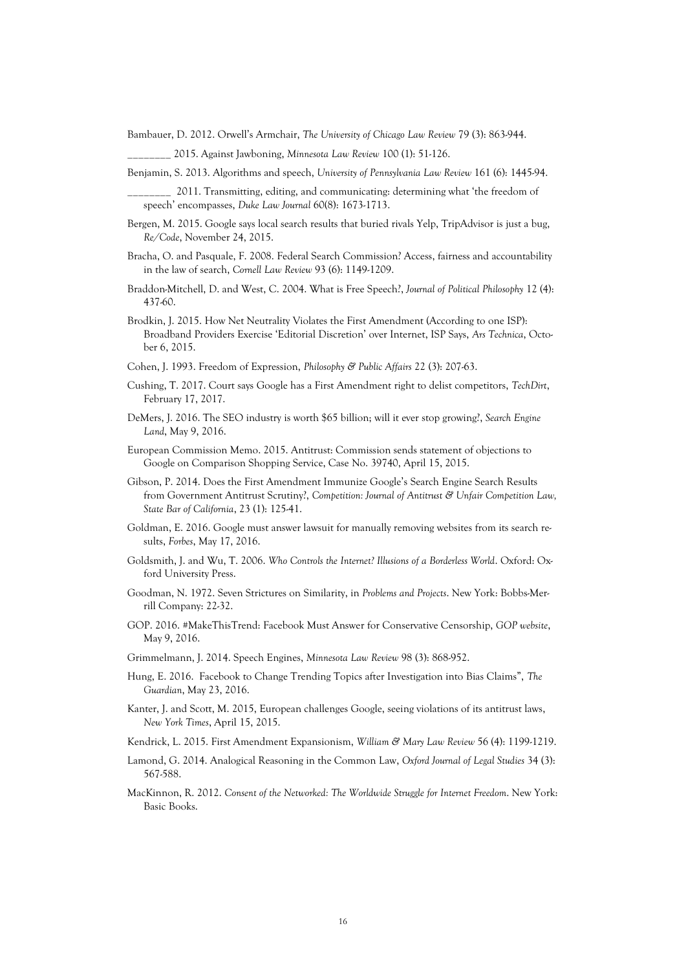Bambauer, D. 2012. Orwell's Armchair, *The University of Chicago Law Review* 79 (3): 863-944.

\_\_\_\_\_\_\_\_ 2015. Against Jawboning, *Minnesota Law Review* 100 (1): 51-126.

Benjamin, S. 2013. Algorithms and speech, *University of Pennsylvania Law Review* 161 (6): 1445-94.

2011. Transmitting, editing, and communicating: determining what 'the freedom of speech' encompasses, *Duke Law Journal* 60(8): 1673-1713.

- Bergen, M. 2015. Google says local search results that buried rivals Yelp, TripAdvisor is just a bug, *Re/Code*, November 24, 2015.
- Bracha, O. and Pasquale, F. 2008. Federal Search Commission? Access, fairness and accountability in the law of search, *Cornell Law Review* 93 (6): 1149-1209.
- Braddon-Mitchell, D. and West, C. 2004. What is Free Speech?, *Journal of Political Philosophy* 12 (4): 437-60.
- Brodkin, J. 2015. How Net Neutrality Violates the First Amendment (According to one ISP): Broadband Providers Exercise 'Editorial Discretion' over Internet, ISP Says, *Ars Technica*, October 6, 2015.
- Cohen, J. 1993. Freedom of Expression, *Philosophy & Public Affairs* 22 (3): 207-63.
- Cushing, T. 2017. Court says Google has a First Amendment right to delist competitors, *TechDirt*, February 17, 2017.
- DeMers, J. 2016. The SEO industry is worth \$65 billion; will it ever stop growing?, *Search Engine Land*, May 9, 2016.
- European Commission Memo. 2015. Antitrust: Commission sends statement of objections to Google on Comparison Shopping Service, Case No. 39740, April 15, 2015.
- Gibson, P. 2014. Does the First Amendment Immunize Google's Search Engine Search Results from Government Antitrust Scrutiny?, *Competition: Journal of Antitrust & Unfair Competition Law, State Bar of California*, 23 (1): 125-41.
- Goldman, E. 2016. Google must answer lawsuit for manually removing websites from its search results, *Forbes*, May 17, 2016.
- Goldsmith, J. and Wu, T. 2006. *Who Controls the Internet? Illusions of a Borderless World*. Oxford: Oxford University Press.
- Goodman, N. 1972. Seven Strictures on Similarity, in *Problems and Projects*. New York: Bobbs-Merrill Company: 22-32.
- GOP. 2016. #MakeThisTrend: Facebook Must Answer for Conservative Censorship, *GOP website*, May 9, 2016.
- Grimmelmann, J. 2014. Speech Engines, *Minnesota Law Review* 98 (3): 868-952.
- Hung, E. 2016. Facebook to Change Trending Topics after Investigation into Bias Claims", *The Guardian*, May 23, 2016.
- Kanter, J. and Scott, M. 2015, European challenges Google, seeing violations of its antitrust laws, *New York Times*, April 15, 2015.
- Kendrick, L. 2015. First Amendment Expansionism, *William & Mary Law Review* 56 (4): 1199-1219.
- Lamond, G. 2014. Analogical Reasoning in the Common Law, *Oxford Journal of Legal Studies* 34 (3): 567-588.
- MacKinnon, R. 2012. *Consent of the Networked: The Worldwide Struggle for Internet Freedom*. New York: Basic Books.